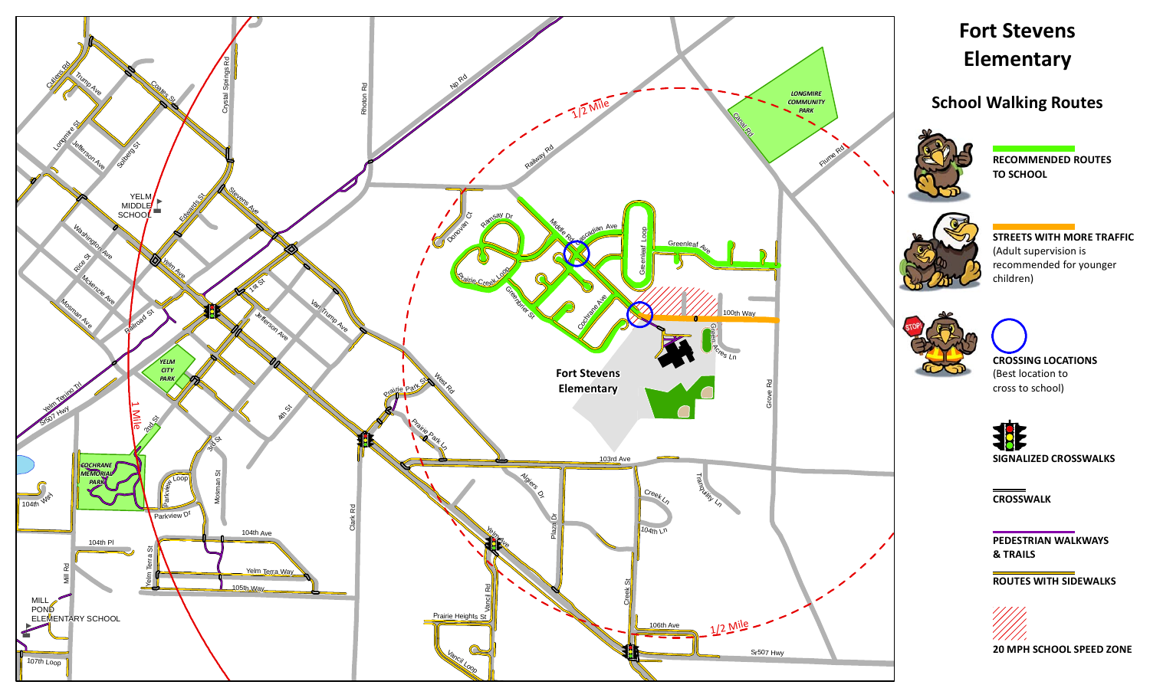